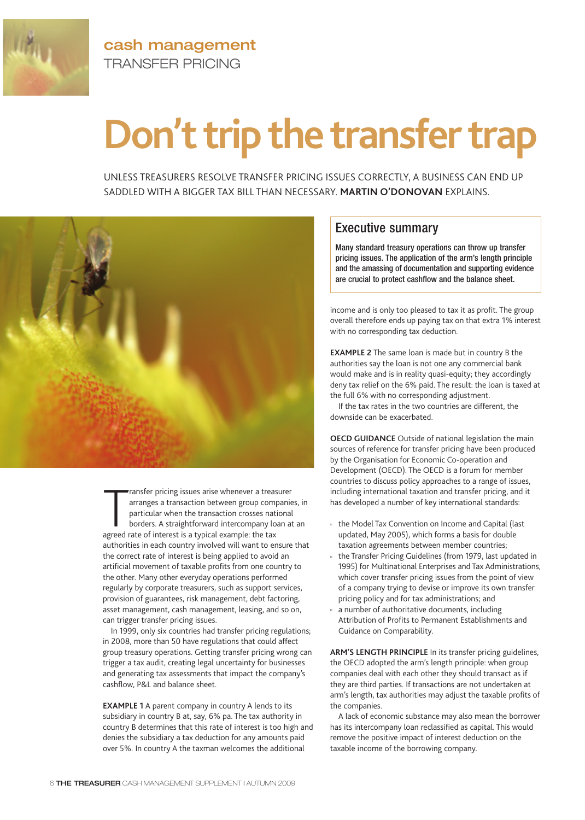

**cash management** TRANSFER PRICING

## **Don't trip the transfer trap**

UNLESS TREASURERS RESOLVE TRANSFER PRICING ISSUES CORRECTLY, A BUSINESS CAN END UP SADDLED WITH A BIGGER TAX BILL THAN NECESSARY. **MARTIN O'DONOVAN** EXPLAINS.



Frame pricing issues arise whenever a treasuranges a transaction between group comparticular when the transaction crosses nat borders. A straightforward intercompany lc agreed rate of interest is a typical example: the tax ransfer pricing issues arise whenever a treasurer arranges a transaction between group companies, in particular when the transaction crosses national borders. A straightforward intercompany loan at an authorities in each country involved will want to ensure that the correct rate of interest is being applied to avoid an artificial movement of taxable profits from one country to the other. Many other everyday operations performed regularly by corporate treasurers, such as support services, provision of guarantees, risk management, debt factoring, asset management, cash management, leasing, and so on, can trigger transfer pricing issues.

In 1999, only six countries had transfer pricing regulations; in 2008, more than 50 have regulations that could affect group treasury operations. Getting transfer pricing wrong can trigger a tax audit, creating legal uncertainty for businesses and generating tax assessments that impact the company's cashflow, P&L and balance sheet.

**EXAMPLE 1** A parent company in country A lends to its subsidiary in country B at, say, 6% pa. The tax authority in country B determines that this rate of interest is too high and denies the subsidiary a tax deduction for any amounts paid over 5%. In country A the taxman welcomes the additional

## Executive summary

Many standard treasury operations can throw up transfer pricing issues. The application of the arm's length principle and the amassing of documentation and supporting evidence are crucial to protect cashflow and the balance sheet.

income and is only too pleased to tax it as profit. The group overall therefore ends up paying tax on that extra 1% interest with no corresponding tax deduction.

**EXAMPLE 2** The same loan is made but in country B the authorities say the loan is not one any commercial bank would make and is in reality quasi-equity; they accordingly deny tax relief on the 6% paid. The result: the loan is taxed at the full 6% with no corresponding adjustment.

If the tax rates in the two countries are different, the downside can be exacerbated.

**OECD GUIDANCE** Outside of national legislation the main sources of reference for transfer pricing have been produced by the Organisation for Economic Co-operation and Development (OECD). The OECD is a forum for member countries to discuss policy approaches to a range of issues, including international taxation and transfer pricing, and it has developed a number of key international standards:

- the Model Tax Convention on Income and Capital (last updated, May 2005), which forms a basis for double taxation agreements between member countries;
- the Transfer Pricing Guidelines (from 1979, last updated in 1995) for Multinational Enterprises and Tax Administrations, which cover transfer pricing issues from the point of view of a company trying to devise or improve its own transfer pricing policy and for tax administrations; and
- a number of authoritative documents, including Attribution of Profits to Permanent Establishments and Guidance on Comparability.

**ARM'S LENGTH PRINCIPLE** In its transfer pricing guidelines, the OECD adopted the arm's length principle: when group companies deal with each other they should transact as if they are third parties. If transactions are not undertaken at arm's length, tax authorities may adjust the taxable profits of the companies.

A lack of economic substance may also mean the borrower has its intercompany loan reclassified as capital. This would remove the positive impact of interest deduction on the taxable income of the borrowing company.